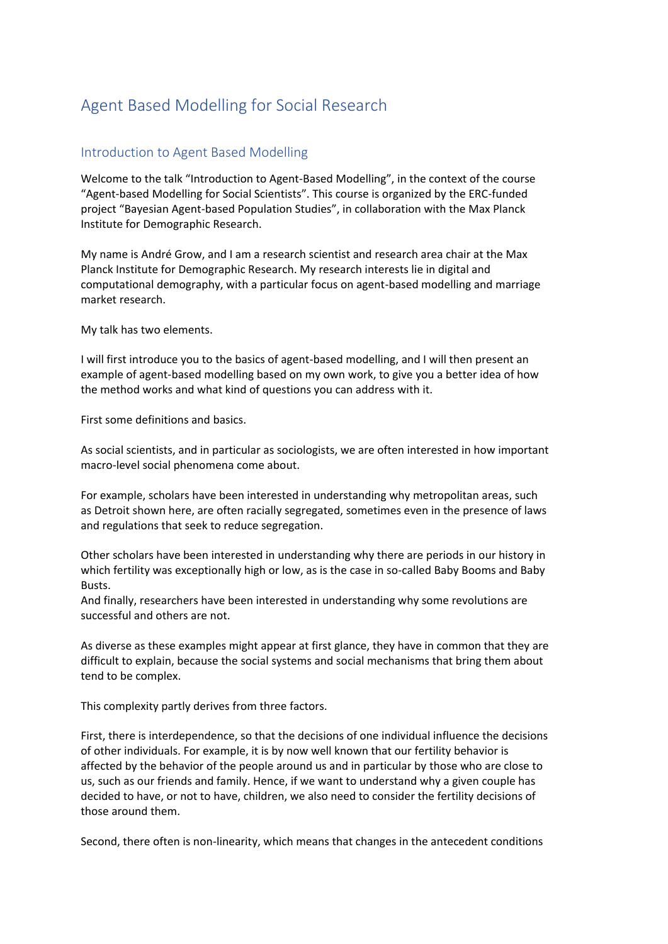## Agent Based Modelling for Social Research

## Introduction to Agent Based Modelling

Welcome to the talk "Introduction to Agent-Based Modelling", in the context of the course "Agent-based Modelling for Social Scientists". This course is organized by the ERC-funded project "Bayesian Agent-based Population Studies", in collaboration with the Max Planck Institute for Demographic Research.

My name is André Grow, and I am a research scientist and research area chair at the Max Planck Institute for Demographic Research. My research interests lie in digital and computational demography, with a particular focus on agent-based modelling and marriage market research.

My talk has two elements.

I will first introduce you to the basics of agent-based modelling, and I will then present an example of agent-based modelling based on my own work, to give you a better idea of how the method works and what kind of questions you can address with it.

First some definitions and basics.

As social scientists, and in particular as sociologists, we are often interested in how important macro-level social phenomena come about.

For example, scholars have been interested in understanding why metropolitan areas, such as Detroit shown here, are often racially segregated, sometimes even in the presence of laws and regulations that seek to reduce segregation.

Other scholars have been interested in understanding why there are periods in our history in which fertility was exceptionally high or low, as is the case in so-called Baby Booms and Baby Busts.

And finally, researchers have been interested in understanding why some revolutions are successful and others are not.

As diverse as these examples might appear at first glance, they have in common that they are difficult to explain, because the social systems and social mechanisms that bring them about tend to be complex.

This complexity partly derives from three factors.

First, there is interdependence, so that the decisions of one individual influence the decisions of other individuals. For example, it is by now well known that our fertility behavior is affected by the behavior of the people around us and in particular by those who are close to us, such as our friends and family. Hence, if we want to understand why a given couple has decided to have, or not to have, children, we also need to consider the fertility decisions of those around them.

Second, there often is non-linearity, which means that changes in the antecedent conditions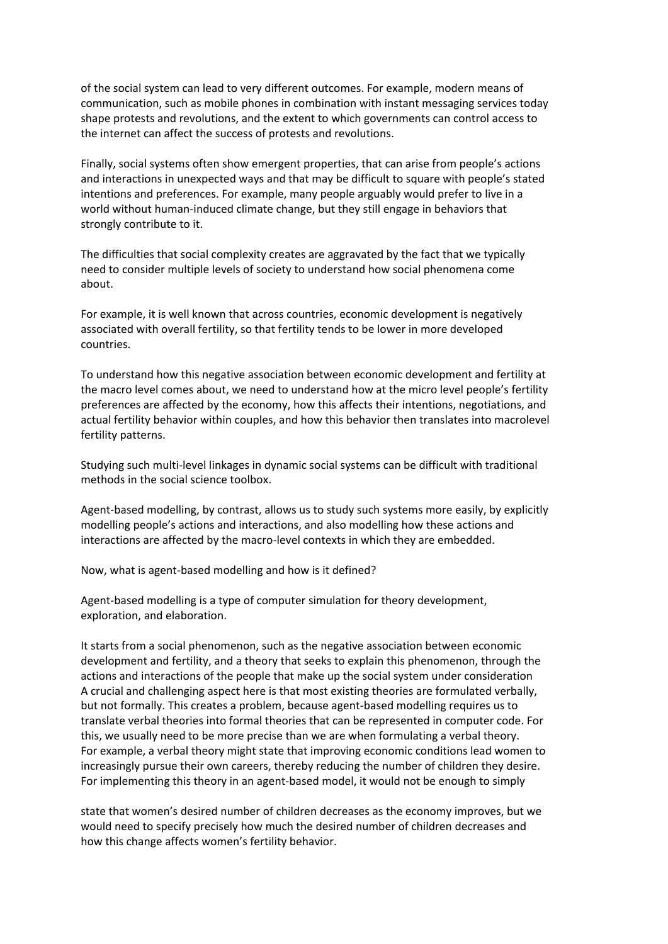of the social system can lead to very different outcomes. For example, modern means of communication, such as mobile phones in combination with instant messaging services today shape protests and revolutions, and the extent to which governments can control access to the internet can affect the success of protests and revolutions.

Finally, social systems often show emergent properties, that can arise from people's actions and interactions in unexpected ways and that may be difficult to square with people's stated intentions and preferences. For example, many people arguably would prefer to live in a world without human-induced climate change, but they still engage in behaviors that strongly contribute to it.

The difficulties that social complexity creates are aggravated by the fact that we typically need to consider multiple levels of society to understand how social phenomena come about.

For example, it is well known that across countries, economic development is negatively associated with overall fertility, so that fertility tends to be lower in more developed countries.

To understand how this negative association between economic development and fertility at the macro level comes about, we need to understand how at the micro level people's fertility preferences are affected by the economy, how this affects their intentions, negotiations, and actual fertility behavior within couples, and how this behavior then translates into macrolevel fertility patterns.

Studying such multi-level linkages in dynamic social systems can be difficult with traditional methods in the social science toolbox.

Agent-based modelling, by contrast, allows us to study such systems more easily, by explicitly modelling people's actions and interactions, and also modelling how these actions and interactions are affected by the macro-level contexts in which they are embedded.

Now, what is agent-based modelling and how is it defined?

Agent-based modelling is a type of computer simulation for theory development, exploration, and elaboration.

It starts from a social phenomenon, such as the negative association between economic development and fertility, and a theory that seeks to explain this phenomenon, through the actions and interactions of the people that make up the social system under consideration A crucial and challenging aspect here is that most existing theories are formulated verbally, but not formally. This creates a problem, because agent-based modelling requires us to translate verbal theories into formal theories that can be represented in computer code. For this, we usually need to be more precise than we are when formulating a verbal theory. For example, a verbal theory might state that improving economic conditions lead women to increasingly pursue their own careers, thereby reducing the number of children they desire. For implementing this theory in an agent-based model, it would not be enough to simply

state that women's desired number of children decreases as the economy improves, but we would need to specify precisely how much the desired number of children decreases and how this change affects women's fertility behavior.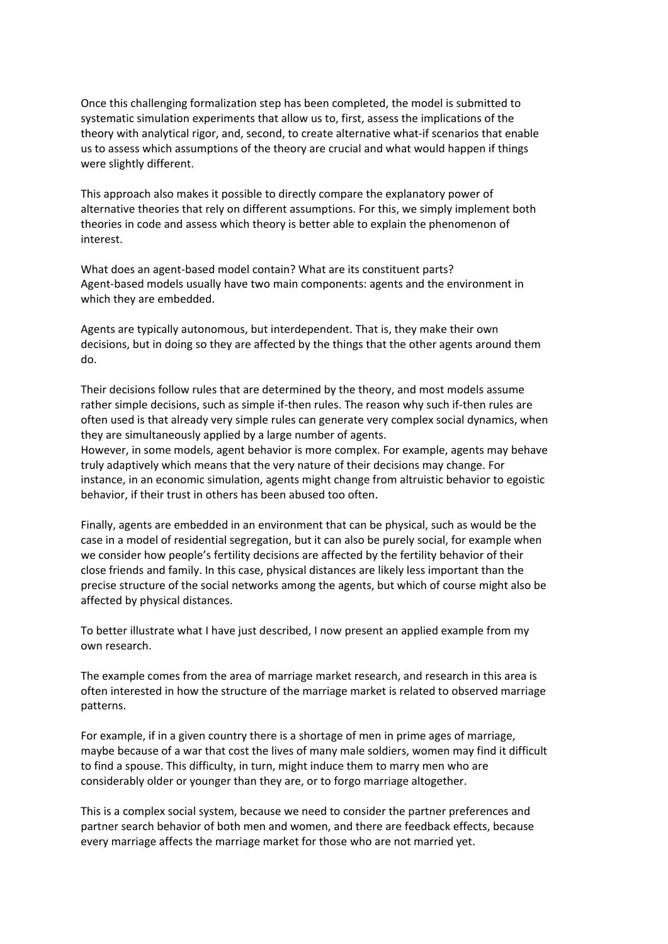Once this challenging formalization step has been completed, the model is submitted to systematic simulation experiments that allow us to, first, assess the implications of the theory with analytical rigor, and, second, to create alternative what-if scenarios that enable us to assess which assumptions of the theory are crucial and what would happen if things were slightly different.

This approach also makes it possible to directly compare the explanatory power of alternative theories that rely on different assumptions. For this, we simply implement both theories in code and assess which theory is better able to explain the phenomenon of interest.

What does an agent-based model contain? What are its constituent parts? Agent-based models usually have two main components: agents and the environment in which they are embedded.

Agents are typically autonomous, but interdependent. That is, they make their own decisions, but in doing so they are affected by the things that the other agents around them do.

Their decisions follow rules that are determined by the theory, and most models assume rather simple decisions, such as simple if-then rules. The reason why such if-then rules are often used is that already very simple rules can generate very complex social dynamics, when they are simultaneously applied by a large number of agents.

However, in some models, agent behavior is more complex. For example, agents may behave truly adaptively which means that the very nature of their decisions may change. For instance, in an economic simulation, agents might change from altruistic behavior to egoistic behavior, if their trust in others has been abused too often.

Finally, agents are embedded in an environment that can be physical, such as would be the case in a model of residential segregation, but it can also be purely social, for example when we consider how people's fertility decisions are affected by the fertility behavior of their close friends and family. In this case, physical distances are likely less important than the precise structure of the social networks among the agents, but which of course might also be affected by physical distances.

To better illustrate what I have just described, I now present an applied example from my own research.

The example comes from the area of marriage market research, and research in this area is often interested in how the structure of the marriage market is related to observed marriage patterns.

For example, if in a given country there is a shortage of men in prime ages of marriage, maybe because of a war that cost the lives of many male soldiers, women may find it difficult to find a spouse. This difficulty, in turn, might induce them to marry men who are considerably older or younger than they are, or to forgo marriage altogether.

This is a complex social system, because we need to consider the partner preferences and partner search behavior of both men and women, and there are feedback effects, because every marriage affects the marriage market for those who are not married yet.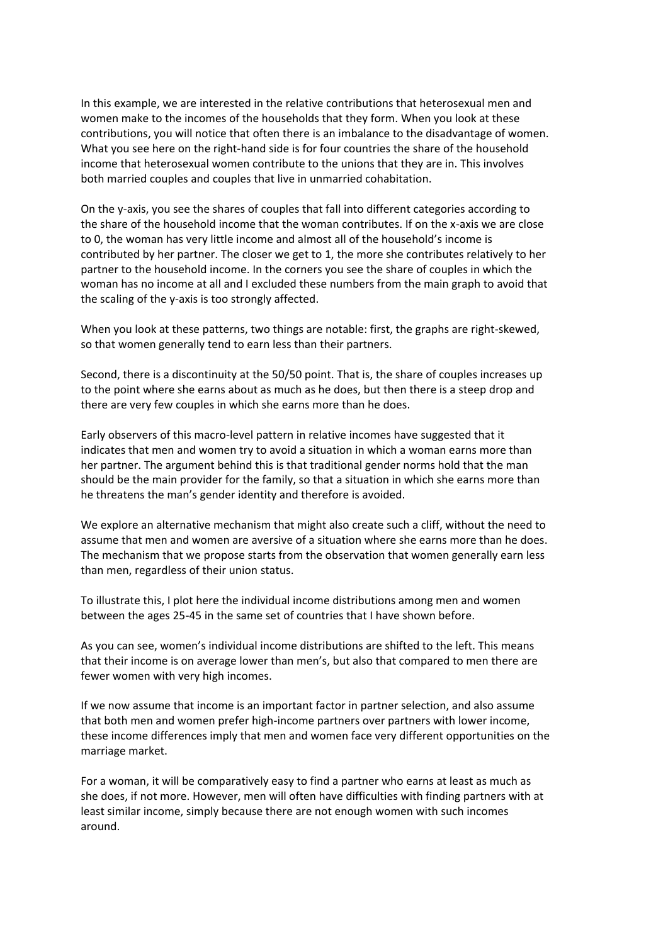In this example, we are interested in the relative contributions that heterosexual men and women make to the incomes of the households that they form. When you look at these contributions, you will notice that often there is an imbalance to the disadvantage of women. What you see here on the right-hand side is for four countries the share of the household income that heterosexual women contribute to the unions that they are in. This involves both married couples and couples that live in unmarried cohabitation.

On the y-axis, you see the shares of couples that fall into different categories according to the share of the household income that the woman contributes. If on the x-axis we are close to 0, the woman has very little income and almost all of the household's income is contributed by her partner. The closer we get to 1, the more she contributes relatively to her partner to the household income. In the corners you see the share of couples in which the woman has no income at all and I excluded these numbers from the main graph to avoid that the scaling of the y-axis is too strongly affected.

When you look at these patterns, two things are notable: first, the graphs are right-skewed, so that women generally tend to earn less than their partners.

Second, there is a discontinuity at the 50/50 point. That is, the share of couples increases up to the point where she earns about as much as he does, but then there is a steep drop and there are very few couples in which she earns more than he does.

Early observers of this macro-level pattern in relative incomes have suggested that it indicates that men and women try to avoid a situation in which a woman earns more than her partner. The argument behind this is that traditional gender norms hold that the man should be the main provider for the family, so that a situation in which she earns more than he threatens the man's gender identity and therefore is avoided.

We explore an alternative mechanism that might also create such a cliff, without the need to assume that men and women are aversive of a situation where she earns more than he does. The mechanism that we propose starts from the observation that women generally earn less than men, regardless of their union status.

To illustrate this, I plot here the individual income distributions among men and women between the ages 25-45 in the same set of countries that I have shown before.

As you can see, women's individual income distributions are shifted to the left. This means that their income is on average lower than men's, but also that compared to men there are fewer women with very high incomes.

If we now assume that income is an important factor in partner selection, and also assume that both men and women prefer high-income partners over partners with lower income, these income differences imply that men and women face very different opportunities on the marriage market.

For a woman, it will be comparatively easy to find a partner who earns at least as much as she does, if not more. However, men will often have difficulties with finding partners with at least similar income, simply because there are not enough women with such incomes around.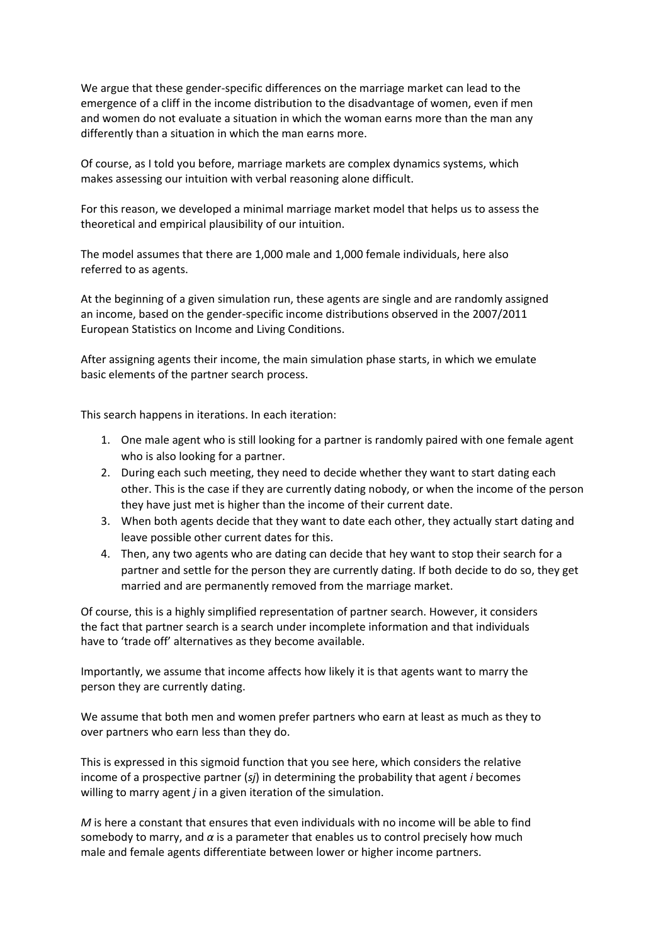We argue that these gender-specific differences on the marriage market can lead to the emergence of a cliff in the income distribution to the disadvantage of women, even if men and women do not evaluate a situation in which the woman earns more than the man any differently than a situation in which the man earns more.

Of course, as I told you before, marriage markets are complex dynamics systems, which makes assessing our intuition with verbal reasoning alone difficult.

For this reason, we developed a minimal marriage market model that helps us to assess the theoretical and empirical plausibility of our intuition.

The model assumes that there are 1,000 male and 1,000 female individuals, here also referred to as agents.

At the beginning of a given simulation run, these agents are single and are randomly assigned an income, based on the gender-specific income distributions observed in the 2007/2011 European Statistics on Income and Living Conditions.

After assigning agents their income, the main simulation phase starts, in which we emulate basic elements of the partner search process.

This search happens in iterations. In each iteration:

- 1. One male agent who is still looking for a partner is randomly paired with one female agent who is also looking for a partner.
- 2. During each such meeting, they need to decide whether they want to start dating each other. This is the case if they are currently dating nobody, or when the income of the person they have just met is higher than the income of their current date.
- 3. When both agents decide that they want to date each other, they actually start dating and leave possible other current dates for this.
- 4. Then, any two agents who are dating can decide that hey want to stop their search for a partner and settle for the person they are currently dating. If both decide to do so, they get married and are permanently removed from the marriage market.

Of course, this is a highly simplified representation of partner search. However, it considers the fact that partner search is a search under incomplete information and that individuals have to 'trade off' alternatives as they become available.

Importantly, we assume that income affects how likely it is that agents want to marry the person they are currently dating.

We assume that both men and women prefer partners who earn at least as much as they to over partners who earn less than they do.

This is expressed in this sigmoid function that you see here, which considers the relative income of a prospective partner (*sj*) in determining the probability that agent *i* becomes willing to marry agent *j* in a given iteration of the simulation.

*M* is here a constant that ensures that even individuals with no income will be able to find somebody to marry, and  $\alpha$  is a parameter that enables us to control precisely how much male and female agents differentiate between lower or higher income partners.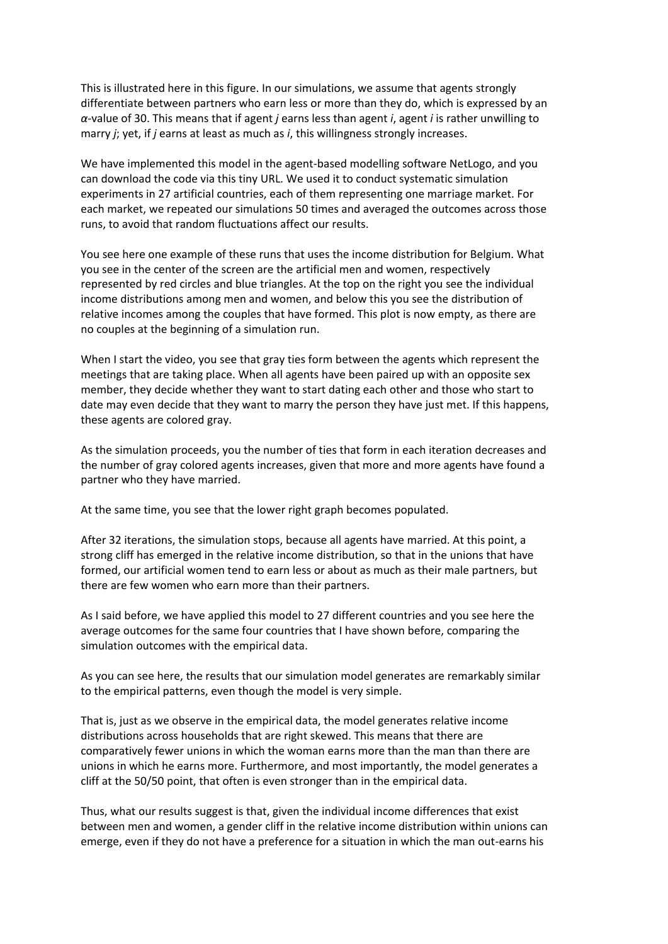This is illustrated here in this figure. In our simulations, we assume that agents strongly differentiate between partners who earn less or more than they do, which is expressed by an *α*-value of 30. This means that if agent *j* earns less than agent *i*, agent *i* is rather unwilling to marry *j*; yet, if *j* earns at least as much as *i*, this willingness strongly increases.

We have implemented this model in the agent-based modelling software NetLogo, and you can download the code via this tiny URL. We used it to conduct systematic simulation experiments in 27 artificial countries, each of them representing one marriage market. For each market, we repeated our simulations 50 times and averaged the outcomes across those runs, to avoid that random fluctuations affect our results.

You see here one example of these runs that uses the income distribution for Belgium. What you see in the center of the screen are the artificial men and women, respectively represented by red circles and blue triangles. At the top on the right you see the individual income distributions among men and women, and below this you see the distribution of relative incomes among the couples that have formed. This plot is now empty, as there are no couples at the beginning of a simulation run.

When I start the video, you see that gray ties form between the agents which represent the meetings that are taking place. When all agents have been paired up with an opposite sex member, they decide whether they want to start dating each other and those who start to date may even decide that they want to marry the person they have just met. If this happens, these agents are colored gray.

As the simulation proceeds, you the number of ties that form in each iteration decreases and the number of gray colored agents increases, given that more and more agents have found a partner who they have married.

At the same time, you see that the lower right graph becomes populated.

After 32 iterations, the simulation stops, because all agents have married. At this point, a strong cliff has emerged in the relative income distribution, so that in the unions that have formed, our artificial women tend to earn less or about as much as their male partners, but there are few women who earn more than their partners.

As I said before, we have applied this model to 27 different countries and you see here the average outcomes for the same four countries that I have shown before, comparing the simulation outcomes with the empirical data.

As you can see here, the results that our simulation model generates are remarkably similar to the empirical patterns, even though the model is very simple.

That is, just as we observe in the empirical data, the model generates relative income distributions across households that are right skewed. This means that there are comparatively fewer unions in which the woman earns more than the man than there are unions in which he earns more. Furthermore, and most importantly, the model generates a cliff at the 50/50 point, that often is even stronger than in the empirical data.

Thus, what our results suggest is that, given the individual income differences that exist between men and women, a gender cliff in the relative income distribution within unions can emerge, even if they do not have a preference for a situation in which the man out-earns his